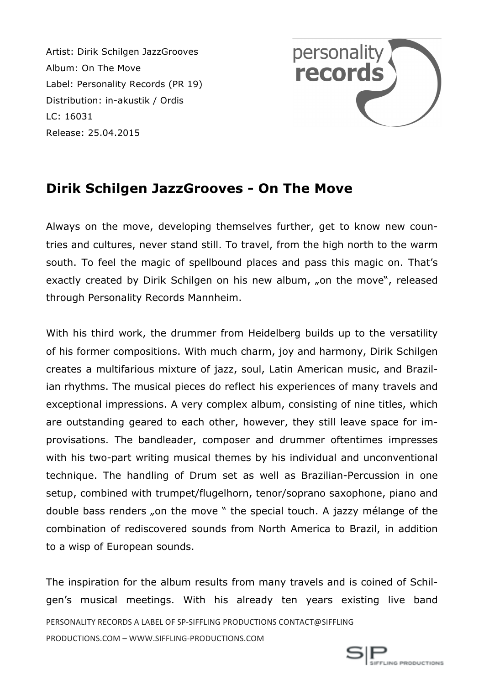Artist: Dirik Schilgen JazzGrooves Album: On The Move Label: Personality Records (PR 19) Distribution: in-akustik / Ordis LC: 16031 Release: 25.04.2015



## **Dirik Schilgen JazzGrooves - On The Move**

Always on the move, developing themselves further, get to know new countries and cultures, never stand still. To travel, from the high north to the warm south. To feel the magic of spellbound places and pass this magic on. That's exactly created by Dirik Schilgen on his new album, "on the move", released through Personality Records Mannheim.

With his third work, the drummer from Heidelberg builds up to the versatility of his former compositions. With much charm, joy and harmony, Dirik Schilgen creates a multifarious mixture of jazz, soul, Latin American music, and Brazilian rhythms. The musical pieces do reflect his experiences of many travels and exceptional impressions. A very complex album, consisting of nine titles, which are outstanding geared to each other, however, they still leave space for improvisations. The bandleader, composer and drummer oftentimes impresses with his two-part writing musical themes by his individual and unconventional technique. The handling of Drum set as well as Brazilian-Percussion in one setup, combined with trumpet/flugelhorn, tenor/soprano saxophone, piano and double bass renders "on the move " the special touch. A jazzy mélange of the combination of rediscovered sounds from North America to Brazil, in addition to a wisp of European sounds.

PERSONALITY RECORDS A LABEL OF SP-SIFFLING PRODUCTIONS CONTACT@SIFFLING PRODUCTIONS.COM – WWW.SIFFLING-PRODUCTIONS.COM The inspiration for the album results from many travels and is coined of Schilgen's musical meetings. With his already ten years existing live band